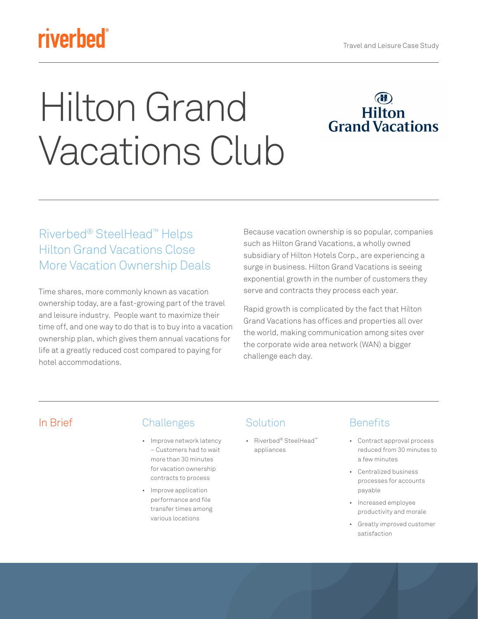## **riverbed**

# Hilton Grand Vacations Club



#### Riverbed® SteelHead™ Helps Hilton Grand Vacations Close More Vacation Ownership Deals

Time shares, more commonly known as vacation ownership today, are a fast-growing part of the travel and leisure industry. People want to maximize their time off, and one way to do that is to buy into a vacation ownership plan, which gives them annual vacations for life at a greatly reduced cost compared to paying for hotel accommodations.

Because vacation ownership is so popular, companies such as Hilton Grand Vacations, a wholly owned subsidiary of Hilton Hotels Corp., are experiencing a surge in business. Hilton Grand Vacations is seeing exponential growth in the number of customers they serve and contracts they process each year.

Rapid growth is complicated by the fact that Hilton Grand Vacations has offices and properties all over the world, making communication among sites over the corporate wide area network (WAN) a bigger challenge each day.

#### In Brief Challenges

- Improve network latency – Customers had to wait more than 30 minutes for vacation ownership contracts to process
- Improve application performance and file transfer times among various locations

### Solution

• Riverbed® SteelHead™ appliances

#### **Benefits**

- Contract approval process reduced from 30 minutes to a few minutes
- Centralized business processes for accounts payable
- Increased employee productivity and morale
- Greatly improved customer satisfaction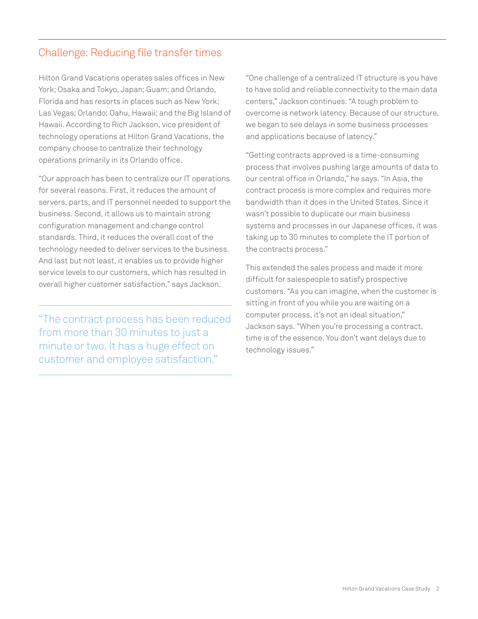#### Challenge: Reducing file transfer times

Hilton Grand Vacations operates sales offices in New York; Osaka and Tokyo, Japan; Guam; and Orlando, Florida and has resorts in places such as New York; Las Vegas; Orlando; Oahu, Hawaii; and the Big Island of Hawaii. According to Rich Jackson, vice president of technology operations at Hilton Grand Vacations, the company choose to centralize their technology operations primarily in its Orlando office.

"Our approach has been to centralize our IT operations for several reasons. First, it reduces the amount of servers, parts, and IT personnel needed to support the business. Second, it allows us to maintain strong configuration management and change control standards. Third, it reduces the overall cost of the technology needed to deliver services to the business. And last but not least, it enables us to provide higher service levels to our customers, which has resulted in overall higher customer satisfaction," says Jackson.

"The contract process has been reduced from more than 30 minutes to just a minute or two. It has a huge effect on customer and employee satisfaction."

"One challenge of a centralized IT structure is you have to have solid and reliable connectivity to the main data centers," Jackson continues. "A tough problem to overcome is network latency. Because of our structure, we began to see delays in some business processes and applications because of latency."

"Getting contracts approved is a time-consuming process that involves pushing large amounts of data to our central office in Orlando," he says. "In Asia, the contract process is more complex and requires more bandwidth than it does in the United States. Since it wasn't possible to duplicate our main business systems and processes in our Japanese offices, it was taking up to 30 minutes to complete the IT portion of the contracts process."

This extended the sales process and made it more difficult for salespeople to satisfy prospective customers. "As you can imagine, when the customer is sitting in front of you while you are waiting on a computer process, it's not an ideal situation," Jackson says. "When you're processing a contract, time is of the essence. You don't want delays due to technology issues."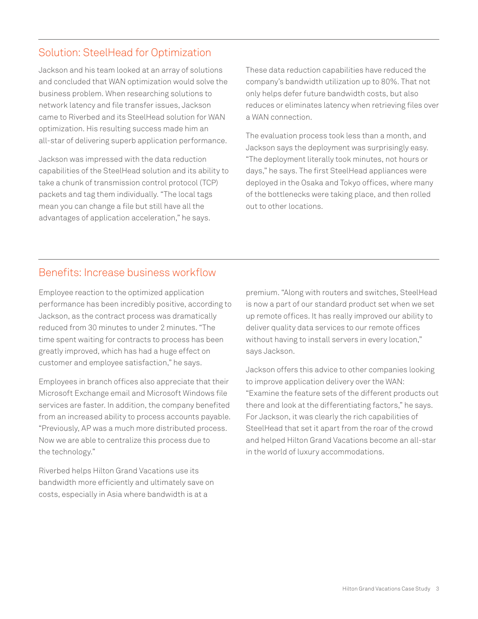#### Solution: SteelHead for Optimization

Jackson and his team looked at an array of solutions and concluded that WAN optimization would solve the business problem. When researching solutions to network latency and file transfer issues, Jackson came to Riverbed and its SteelHead solution for WAN optimization. His resulting success made him an all-star of delivering superb application performance.

Jackson was impressed with the data reduction capabilities of the SteelHead solution and its ability to take a chunk of transmission control protocol (TCP) packets and tag them individually. "The local tags mean you can change a file but still have all the advantages of application acceleration," he says.

These data reduction capabilities have reduced the company's bandwidth utilization up to 80%. That not only helps defer future bandwidth costs, but also reduces or eliminates latency when retrieving files over a WAN connection.

The evaluation process took less than a month, and Jackson says the deployment was surprisingly easy. "The deployment literally took minutes, not hours or days," he says. The first SteelHead appliances were deployed in the Osaka and Tokyo offices, where many of the bottlenecks were taking place, and then rolled out to other locations.

#### Benefits: Increase business workflow

Employee reaction to the optimized application performance has been incredibly positive, according to Jackson, as the contract process was dramatically reduced from 30 minutes to under 2 minutes. "The time spent waiting for contracts to process has been greatly improved, which has had a huge effect on customer and employee satisfaction," he says.

Employees in branch offices also appreciate that their Microsoft Exchange email and Microsoft Windows file services are faster. In addition, the company benefited from an increased ability to process accounts payable. "Previously, AP was a much more distributed process. Now we are able to centralize this process due to the technology."

Riverbed helps Hilton Grand Vacations use its bandwidth more efficiently and ultimately save on costs, especially in Asia where bandwidth is at a

premium. "Along with routers and switches, SteelHead is now a part of our standard product set when we set up remote offices. It has really improved our ability to deliver quality data services to our remote offices without having to install servers in every location," says Jackson.

Jackson offers this advice to other companies looking to improve application delivery over the WAN: "Examine the feature sets of the different products out there and look at the differentiating factors," he says. For Jackson, it was clearly the rich capabilities of SteelHead that set it apart from the roar of the crowd and helped Hilton Grand Vacations become an all-star in the world of luxury accommodations.